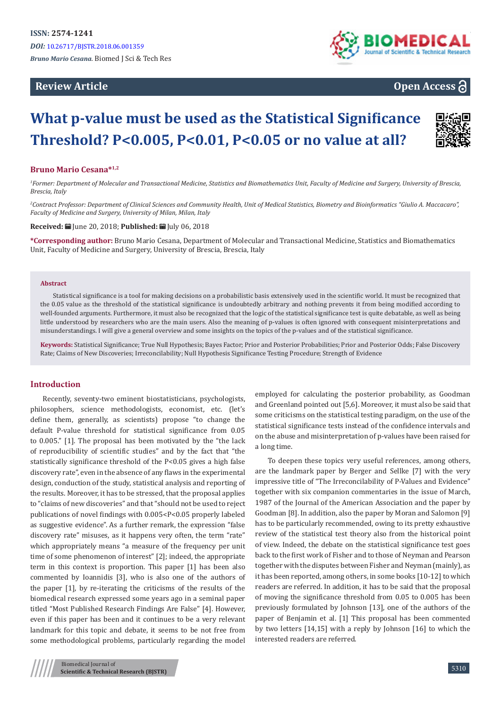## **Review Article**



# **Open Access**

# **What p-value must be used as the Statistical Significance Threshold? P<0.005, P<0.01, P<0.05 or no value at all?**

#### **Bruno Mario Cesana\*1,2**

<sup>1</sup> Former: Department of Molecular and Transactional Medicine, Statistics and Biomathematics Unit, Faculty of Medicine and Surgery, University of Brescia, *Brescia, Italy*

*2 Contract Professor: Department of Clinical Sciences and Community Health, Unit of Medical Statistics, Biometry and Bioinformatics "Giulio A. Maccacaro", Faculty of Medicine and Surgery, University of Milan, Milan, Italy*

**Received:** | June 20, 2018; **Published:** | July 06, 2018

**\*Corresponding author:** Bruno Mario Cesana, Department of Molecular and Transactional Medicine, Statistics and Biomathematics Unit, Faculty of Medicine and Surgery, University of Brescia, Brescia, Italy

#### **Abstract**

Statistical significance is a tool for making decisions on a probabilistic basis extensively used in the scientific world. It must be recognized that the 0.05 value as the threshold of the statistical significance is undoubtedly arbitrary and nothing prevents it from being modified according to well-founded arguments. Furthermore, it must also be recognized that the logic of the statistical significance test is quite debatable, as well as being little understood by researchers who are the main users. Also the meaning of p-values is often ignored with consequent misinterpretations and misunderstandings. I will give a general overview and some insights on the topics of the p-values and of the statistical significance.

**Keywords:** Statistical Significance; True Null Hypothesis; Bayes Factor; Prior and Posterior Probabilities; Prior and Posterior Odds; False Discovery Rate; Claims of New Discoveries; Irreconcilability; Null Hypothesis Significance Testing Procedure; Strength of Evidence

#### **Introduction**

Recently, seventy-two eminent biostatisticians, psychologists, philosophers, science methodologists, economist, etc. (let's define them, generally, as scientists) propose "to change the default P-value threshold for statistical significance from 0.05 to 0.005." [1]. The proposal has been motivated by the "the lack of reproducibility of scientific studies" and by the fact that "the statistically significance threshold of the P<0.05 gives a high false discovery rate", even in the absence of any flaws in the experimental design, conduction of the study, statistical analysis and reporting of the results. Moreover, it has to be stressed, that the proposal applies to "claims of new discoveries" and that "should not be used to reject publications of novel findings with 0.005<P<0.05 properly labeled as suggestive evidence". As a further remark, the expression "false discovery rate" misuses, as it happens very often, the term "rate" which appropriately means "a measure of the frequency per unit time of some phenomenon of interest" [2]; indeed, the appropriate term in this context is proportion. This paper [1] has been also commented by Ioannidis [3], who is also one of the authors of the paper [1], by re-iterating the criticisms of the results of the biomedical research expressed some years ago in a seminal paper titled "Most Published Research Findings Are False" [4]. However, even if this paper has been and it continues to be a very relevant landmark for this topic and debate, it seems to be not free from some methodological problems, particularly regarding the model

employed for calculating the posterior probability, as Goodman and Greenland pointed out [5,6]. Moreover, it must also be said that some criticisms on the statistical testing paradigm, on the use of the statistical significance tests instead of the confidence intervals and on the abuse and misinterpretation of p-values have been raised for a long time.

To deepen these topics very useful references, among others, are the landmark paper by Berger and Sellke [7] with the very impressive title of "The Irreconcilability of P-Values and Evidence" together with six companion commentaries in the issue of March, 1987 of the Journal of the American Association and the paper by Goodman [8]. In addition, also the paper by Moran and Salomon [9] has to be particularly recommended, owing to its pretty exhaustive review of the statistical test theory also from the historical point of view. Indeed, the debate on the statistical significance test goes back to the first work of Fisher and to those of Neyman and Pearson together with the disputes between Fisher and Neyman (mainly), as it has been reported, among others, in some books [10-12] to which readers are referred. In addition, it has to be said that the proposal of moving the significance threshold from 0.05 to 0.005 has been previously formulated by Johnson [13], one of the authors of the paper of Benjamin et al. [1] This proposal has been commented by two letters [14,15] with a reply by Johnson [16] to which the interested readers are referred.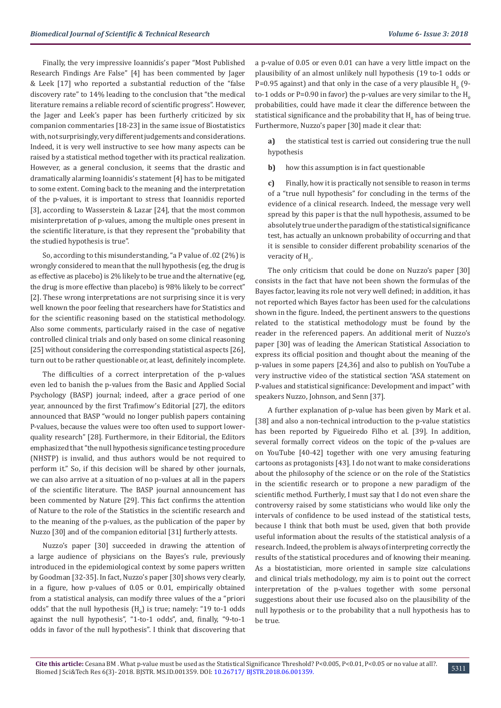Finally, the very impressive Ioannidis's paper "Most Published Research Findings Are False" [4] has been commented by Jager & Leek [17] who reported a substantial reduction of the "false discovery rate" to 14% leading to the conclusion that "the medical literature remains a reliable record of scientific progress". However, the Jager and Leek's paper has been furtherly criticized by six companion commentaries [18-23] in the same issue of Biostatistics with, not surprisingly, very different judgements and considerations. Indeed, it is very well instructive to see how many aspects can be raised by a statistical method together with its practical realization. However, as a general conclusion, it seems that the drastic and dramatically alarming Ioannidis's statement [4] has to be mitigated to some extent. Coming back to the meaning and the interpretation of the p-values, it is important to stress that Ioannidis reported [3], according to Wasserstein & Lazar [24], that the most common misinterpretation of p-values, among the multiple ones present in the scientific literature, is that they represent the "probability that the studied hypothesis is true".

So, according to this misunderstanding, "a P value of .02 (2%) is wrongly considered to mean that the null hypothesis (eg, the drug is as effective as placebo) is 2% likely to be true and the alternative (eg, the drug is more effective than placebo) is 98% likely to be correct" [2]. These wrong interpretations are not surprising since it is very well known the poor feeling that researchers have for Statistics and for the scientific reasoning based on the statistical methodology. Also some comments, particularly raised in the case of negative controlled clinical trials and only based on some clinical reasoning [25] without considering the corresponding statistical aspects [26], turn out to be rather questionable or, at least, definitely incomplete.

The difficulties of a correct interpretation of the p-values even led to banish the p-values from the Basic and Applied Social Psychology (BASP) journal; indeed, after a grace period of one year, announced by the first Trafimow's Editorial [27], the editors announced that BASP "would no longer publish papers containing P-values, because the values were too often used to support lowerquality research" [28]. Furthermore, in their Editorial, the Editors emphasized that "the null hypothesis significance testing procedure (NHSTP) is invalid, and thus authors would be not required to perform it." So, if this decision will be shared by other journals, we can also arrive at a situation of no p-values at all in the papers of the scientific literature. The BASP journal announcement has been commented by Nature [29]. This fact confirms the attention of Nature to the role of the Statistics in the scientific research and to the meaning of the p-values, as the publication of the paper by Nuzzo [30] and of the companion editorial [31] furtherly attests.

Nuzzo's paper [30] succeeded in drawing the attention of a large audience of physicians on the Bayes's rule, previously introduced in the epidemiological context by some papers written by Goodman [32-35]. In fact, Nuzzo's paper [30] shows very clearly, in a figure, how p-values of 0.05 or 0.01, empirically obtained from a statistical analysis, can modify three values of the a "priori odds" that the null hypothesis  $(H_0)$  is true; namely: "19 to-1 odds against the null hypothesis", "1-to-1 odds", and, finally, "9-to-1 odds in favor of the null hypothesis". I think that discovering that

a p-value of 0.05 or even 0.01 can have a very little impact on the plausibility of an almost unlikely null hypothesis (19 to-1 odds or P=0.95 against) and that only in the case of a very plausible  $H_0^-(9$ to-1 odds or P=0.90 in favor) the p-values are very similar to the  $H_0$ probabilities, could have made it clear the difference between the statistical significance and the probability that  $\mathtt{H}_{_0}$  has of being true. Furthermore, Nuzzo's paper [30] made it clear that:

**a)** the statistical test is carried out considering true the null hypothesis

**b)** how this assumption is in fact questionable

**c)** Finally, how it is practically not sensible to reason in terms of a "true null hypothesis" for concluding in the terms of the evidence of a clinical research. Indeed, the message very well spread by this paper is that the null hypothesis, assumed to be absolutely true under the paradigm of the statistical significance test, has actually an unknown probability of occurring and that it is sensible to consider different probability scenarios of the veracity of  $H_0$ .

The only criticism that could be done on Nuzzo's paper [30] consists in the fact that have not been shown the formulas of the Bayes factor, leaving its role not very well defined; in addition, it has not reported which Bayes factor has been used for the calculations shown in the figure. Indeed, the pertinent answers to the questions related to the statistical methodology must be found by the reader in the referenced papers. An additional merit of Nuzzo's paper [30] was of leading the American Statistical Association to express its official position and thought about the meaning of the p-values in some papers [24,36] and also to publish on YouTube a very instructive video of the statistical section "ASA statement on P-values and statistical significance: Development and impact" with speakers Nuzzo, Johnson, and Senn [37].

A further explanation of p-value has been given by Mark et al. [38] and also a non-technical introduction to the p-value statistics has been reported by Figueiredo Filho et al. [39]. In addition, several formally correct videos on the topic of the p-values are on YouTube [40-42] together with one very amusing featuring cartoons as protagonists [43]. I do not want to make considerations about the philosophy of the science or on the role of the Statistics in the scientific research or to propone a new paradigm of the scientific method. Furtherly, I must say that I do not even share the controversy raised by some statisticians who would like only the intervals of confidence to be used instead of the statistical tests, because I think that both must be used, given that both provide useful information about the results of the statistical analysis of a research. Indeed, the problem is always of interpreting correctly the results of the statistical procedures and of knowing their meaning. As a biostatistician, more oriented in sample size calculations and clinical trials methodology, my aim is to point out the correct interpretation of the p-values together with some personal suggestions about their use focused also on the plausibility of the null hypothesis or to the probability that a null hypothesis has to be true.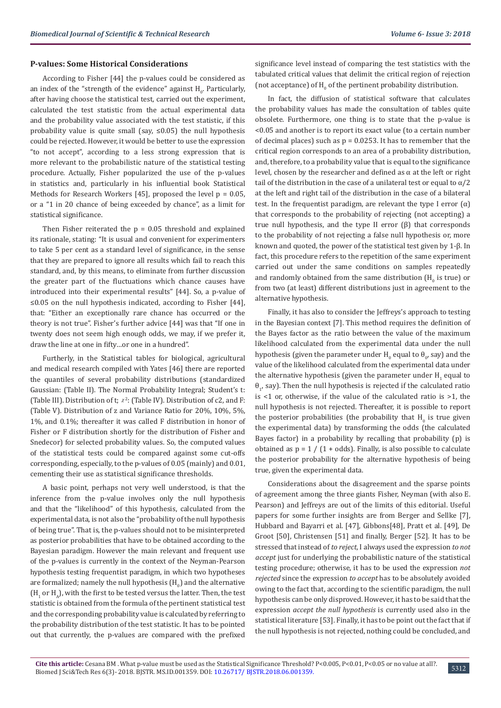## **P-values: Some Historical Considerations**

According to Fisher [44] the p-values could be considered as an index of the "strength of the evidence" against  $H_0$ . Particularly, after having choose the statistical test, carried out the experiment, calculated the test statistic from the actual experimental data and the probability value associated with the test statistic, if this probability value is quite small (say, ≤0.05) the null hypothesis could be rejected. However, it would be better to use the expression "to not accept", according to a less strong expression that is more relevant to the probabilistic nature of the statistical testing procedure. Actually, Fisher popularized the use of the p-values in statistics and, particularly in his influential book Statistical Methods for Research Workers [45], proposed the level p = 0.05, or a "1 in 20 chance of being exceeded by chance", as a limit for statistical significance.

Then Fisher reiterated the  $p = 0.05$  threshold and explained its rationale, stating: "It is usual and convenient for experimenters to take 5 per cent as a standard level of significance, in the sense that they are prepared to ignore all results which fail to reach this standard, and, by this means, to eliminate from further discussion the greater part of the fluctuations which chance causes have introduced into their experimental results" [44]. So, a p-value of ≤0.05 on the null hypothesis indicated, according to Fisher [44], that: "Either an exceptionally rare chance has occurred or the theory is not true". Fisher's further advice [44] was that "If one in twenty does not seem high enough odds, we may, if we prefer it, draw the line at one in fifty…or one in a hundred".

Furtherly, in the Statistical tables for biological, agricultural and medical research compiled with Yates [46] there are reported the quantiles of several probability distributions (standardized Gaussian: (Table II). The Normal Probability Integral; Student's t: (Table III). Distribution of t;  $x^2$ : (Table IV). Distribution of c2, and F: (Table V). Distribution of z and Variance Ratio for 20%, 10%, 5%, 1%, and 0.1%; thereafter it was called F distribution in honor of Fisher or F distribution shortly for the distribution of Fisher and Snedecor) for selected probability values. So, the computed values of the statistical tests could be compared against some cut-offs corresponding, especially, to the p-values of 0.05 (mainly) and 0.01, cementing their use as statistical significance thresholds.

A basic point, perhaps not very well understood, is that the inference from the p-value involves only the null hypothesis and that the "likelihood" of this hypothesis, calculated from the experimental data, is not also the "probability of the null hypothesis of being true". That is, the p-values should not to be misinterpreted as posterior probabilities that have to be obtained according to the Bayesian paradigm. However the main relevant and frequent use of the p-values is currently in the context of the Neyman-Pearson hypothesis testing frequentist paradigm, in which two hypotheses are formalized; namely the null hypothesis  $(\mathtt{H}_{0})$  and the alternative  $(H_1$  or  $H_A$ ), with the first to be tested versus the latter. Then, the test statistic is obtained from the formula of the pertinent statistical test and the corresponding probability value is calculated by referring to the probability distribution of the test statistic. It has to be pointed out that currently, the p-values are compared with the prefixed

significance level instead of comparing the test statistics with the tabulated critical values that delimit the critical region of rejection (not acceptance) of  $H_0^0$  of the pertinent probability distribution.

In fact, the diffusion of statistical software that calculates the probability values has made the consultation of tables quite obsolete. Furthermore, one thing is to state that the p-value is <0.05 and another is to report its exact value (to a certain number of decimal places) such as  $p = 0.0253$ . It has to remember that the critical region corresponds to an area of a probability distribution, and, therefore, to a probability value that is equal to the significance level, chosen by the researcher and defined as α at the left or right tail of the distribution in the case of a unilateral test or equal to  $\alpha/2$ at the left and right tail of the distribution in the case of a bilateral test. In the frequentist paradigm, are relevant the type I error  $(\alpha)$ that corresponds to the probability of rejecting (not accepting) a true null hypothesis, and the type II error (β) that corresponds to the probability of not rejecting a false null hypothesis or, more known and quoted, the power of the statistical test given by 1-β. In fact, this procedure refers to the repetition of the same experiment carried out under the same conditions on samples repeatedly and randomly obtained from the same distribution ( $\mathsf{H}_{\overline{0}}$  is true) or from two (at least) different distributions just in agreement to the alternative hypothesis.

Finally, it has also to consider the Jeffreys's approach to testing in the Bayesian context [7]. This method requires the definition of the Bayes factor as the ratio between the value of the maximum likelihood calculated from the experimental data under the null hypothesis (given the parameter under  $H_0$  equal to  $\theta_{0'}$  say) and the value of the likelihood calculated from the experimental data under the alternative hypothesis (given the parameter under  $\mathtt{H_{1}}$  equal to  $\theta_{1}$ , say). Then the null hypothesis is rejected if the calculated ratio is <1 or, otherwise, if the value of the calculated ratio is >1, the null hypothesis is not rejected. Thereafter, it is possible to report the posterior probabilities (the probability that  $H_0$  is true given the experimental data) by transforming the odds (the calculated Bayes factor) in a probability by recalling that probability (p) is obtained as  $p = 1 / (1 + odds)$ . Finally, is also possible to calculate the posterior probability for the alternative hypothesis of being true, given the experimental data.

Considerations about the disagreement and the sparse points of agreement among the three giants Fisher, Neyman (with also E. Pearson) and Jeffreys are out of the limits of this editorial. Useful papers for some further insights are from Berger and Sellke [7], Hubbard and Bayarri et al. [47], Gibbons[48], Pratt et al. [49], De Groot [50], Christensen [51] and finally, Berger [52]. It has to be stressed that instead of *to reject*, I always used the expression *to not accept* just for underlying the probabilistic nature of the statistical testing procedure; otherwise, it has to be used the expression *not rejected* since the expression *to accept* has to be absolutely avoided owing to the fact that, according to the scientific paradigm, the null hypothesis can be only disproved. However, it has to be said that the expression *accept the null hypothesis* is currently used also in the statistical literature [53]. Finally, it has to be point out the fact that if the null hypothesis is not rejected, nothing could be concluded, and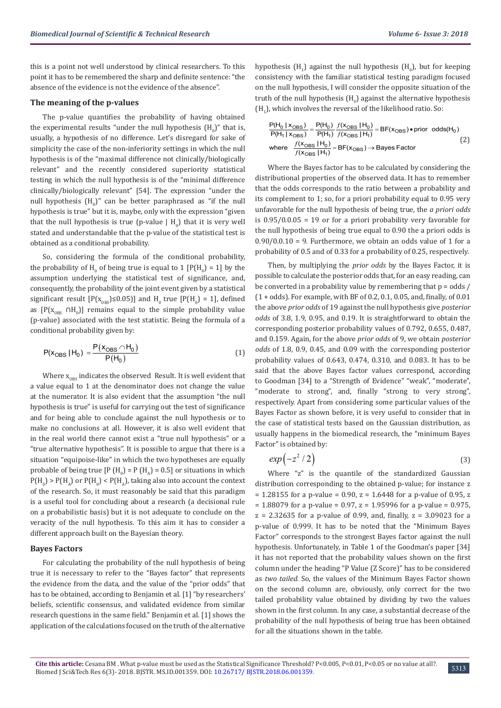this is a point not well understood by clinical researchers. To this point it has to be remembered the sharp and definite sentence: "the absence of the evidence is not the evidence of the absence".

#### **The meaning of the p-values**

The p-value quantifies the probability of having obtained the experimental results "under the null hypothesis  $(\mathtt{H}_{0})$ " that is, usually, a hypothesis of no difference. Let's disregard for sake of simplicity the case of the non-inferiority settings in which the null hypothesis is of the "maximal difference not clinically/biologically relevant" and the recently considered superiority statistical testing in which the null hypothesis is of the "minimal difference clinically/biologically relevant" [54]. The expression "under the null hypothesis  $(H_0)''$  can be better paraphrased as "if the null hypothesis is true" but it is, maybe, only with the expression "given that the null hypothesis is true (p-value  $\mid H_0$ ) that it is very well stated and understandable that the p-value of the statistical test is obtained as a conditional probability.

So, considering the formula of the conditional probability, the probability of  $H_0$  of being true is equal to 1 [P(H<sub>0</sub>) = 1] by the assumption underlying the statistical test of significance, and, consequently, the probability of the joint event given by a statistical significant result  $[P(x_{OBS}) \le 0.05]$  and  $H_0$  true  $[P(H_0) = 1]$ , defined as  $[P(X_{OBS} \cap H_0)]$  remains equal to the simple probability value (p-value) associated with the test statistic. Being the formula of a conditional probability given by:

$$
P(x_{OBS} | H_0) = \frac{P(x_{OBS} \cap H_0)}{P(H_0)}
$$
\n(1)

Where  $x_{\text{obs}}$  indicates the observed Result. It is well evident that a value equal to 1 at the denominator does not change the value at the numerator. It is also evident that the assumption "the null hypothesis is true" is useful for carrying out the test of significance and for being able to conclude against the null hypothesis or to make no conclusions at all. However, it is also well evident that in the real world there cannot exist a "true null hypothesis" or a "true alternative hypothesis". It is possible to argue that there is a situation "equipoise-like" in which the two hypotheses are equally probable of being true [P (H<sub>0</sub>) = P (H<sub>A</sub>) = 0.5] or situations in which  $P(H_0) > P(H_A)$  or  $P(H_0) < P(H_A)$ , taking also into account the context of the research. So, it must reasonably be said that this paradigm is a useful tool for concluding about a research (a decisional rule on a probabilistic basis) but it is not adequate to conclude on the veracity of the null hypothesis. To this aim it has to consider a different approach built on the Bayesian theory.

#### **Bayes Factors**

For calculating the probability of the null hypothesis of being true it is necessary to refer to the "Bayes factor" that represents the evidence from the data, and the value of the "prior odds" that has to be obtained, according to Benjamin et al. [1] "by researchers' beliefs, scientific consensus, and validated evidence from similar research questions in the same field." Benjamin et al. [1] shows the application of the calculations focused on the truth of the alternative

hypothesis  $(H_1)$  against the null hypothesis  $(H_0)$ , but for keeping consistency with the familiar statistical testing paradigm focused on the null hypothesis, I will consider the opposite situation of the truth of the null hypothesis (H<sub>0</sub>) against the alternative hypothesis  $(H<sub>1</sub>)$ , which involves the reversal of the likelihood ratio. So:

$$
\frac{P(H_0 \mid x_{OBS})}{P(H_1 \mid x_{OBS})} = \frac{P(H_0)}{P(H_1)} \frac{f(x_{OBS} \mid H_0)}{f(x_{OBS} \mid H_1)} = BF(x_{OBS}) \cdot \text{prior odds}(H_0)
$$
\nwhere 
$$
\frac{f(x_{OBS} \mid H_0)}{f(x_{OBS} \mid H_1)} = BF(x_{OBS}) \rightarrow \text{Bayes Factor}
$$
\n(2)

Where the Bayes factor has to be calculated by considering the distributional properties of the observed data. It has to remember that the odds corresponds to the ratio between a probability and its complement to 1; so, for a priori probability equal to 0.95 very unfavorable for the null hypothesis of being true, the *a priori odds* is  $0.95/0.0.05 = 19$  or for a priori probability very favorable for the null hypothesis of being true equal to 0.90 the a priori odds is  $0.90/0.0.10 = 9$ . Furthermore, we obtain an odds value of 1 for a probability of 0.5 and of 0.33 for a probability of 0.25, respectively.

Then, by multiplying the *prior odds* by the Bayes Factor, it is possible to calculate the posterior odds that, for an easy reading, can be converted in a probability value by remembering that  $p = odds / q$ (1 + odds). For example, with BF of 0.2, 0.1, 0.05, and, finally, of 0.01 the above *prior odds* of 19 against the null hypothesis give *posterior odds* of 3.8, 1.9, 0.95, and 0.19. It is straightforward to obtain the corresponding posterior probability values of 0.792, 0.655, 0.487, and 0.159. Again, for the above *prior odds* of 9, we obtain *posterior odds* of 1.8, 0.9, 0.45, and 0.09 with the corresponding posterior probability values of 0.643, 0.474, 0.310, and 0.083. It has to be said that the above Bayes factor values correspond, according to Goodman [34] to a "Strength of Evidence" "weak", "moderate", "moderate to strong", and, finally "strong to very strong", respectively. Apart from considering some particular values of the Bayes Factor as shown before, it is very useful to consider that in the case of statistical tests based on the Gaussian distribution, as usually happens in the biomedical research, the "minimum Bayes Factor" is obtained by:

$$
exp(-z^2/2) \tag{3}
$$

Where "z" is the quantile of the standardized Gaussian distribution corresponding to the obtained p-value; for instance z  $= 1.28155$  for a p-value = 0.90, z = 1.6448 for a p-value of 0.95, z  $= 1.88079$  for a p-value = 0.97, z = 1.95996 for a p-value = 0.975,  $z = 2.32635$  for a p-value of 0.99, and, finally,  $z = 3.09023$  for a p-value of 0.999. It has to be noted that the "Minimum Bayes Factor" corresponds to the strongest Bayes factor against the null hypothesis. Unfortunately, in Table 1 of the Goodman's paper [34] it has not reported that the probability values shown on the first column under the heading "P Value (Z Score)" has to be considered as *two tailed*. So, the values of the Minimum Bayes Factor shown on the second column are, obviously, only correct for the two tailed probability value obtained by dividing by two the values shown in the first column. In any case, a substantial decrease of the probability of the null hypothesis of being true has been obtained for all the situations shown in the table.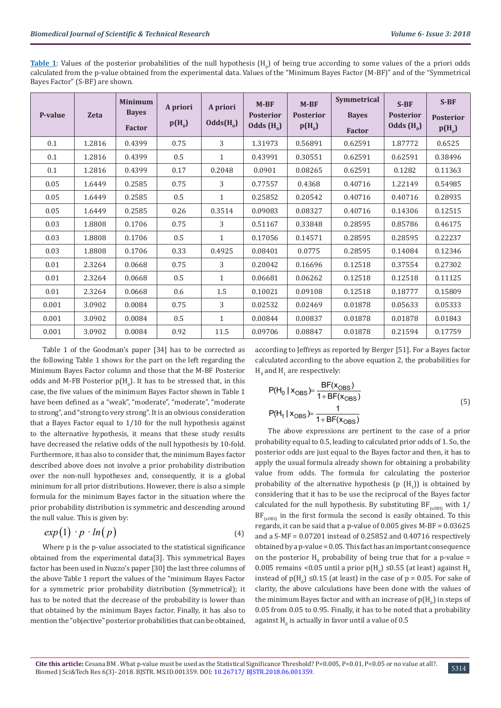**Table 1**: Values of the posterior probabilities of the null hypothesis  $(H_0)$  of being true according to some values of the a priori odds calculated from the p-value obtained from the experimental data. Values of the "Minimum Bayes Factor (M-BF)" and of the "Symmetrical Bayes Factor" (S-BF) are shown.

| P-value | <b>Zeta</b> | <b>Minimum</b><br><b>Bayes</b><br><b>Factor</b> | A priori<br>$p(H_0)$ | A priori<br>$Odds(H_0)$ | $M-BF$<br><b>Posterior</b><br>Odds $(H_0)$ | $M-BF$<br><b>Posterior</b><br>$p(H_0)$ | Symmetrical<br><b>Bayes</b><br><b>Factor</b> | $S-BF$<br><b>Posterior</b><br>Odds $(H_0)$ | $S-BF$<br><b>Posterior</b><br>$p(H_0)$ |
|---------|-------------|-------------------------------------------------|----------------------|-------------------------|--------------------------------------------|----------------------------------------|----------------------------------------------|--------------------------------------------|----------------------------------------|
| 0.1     | 1.2816      | 0.4399                                          | 0.75                 | 3                       | 1.31973                                    | 0.56891                                | 0.62591                                      | 1.87772                                    | 0.6525                                 |
| 0.1     | 1.2816      | 0.4399                                          | 0.5                  | $\mathbf{1}$            | 0.43991                                    | 0.30551                                | 0.62591                                      | 0.62591                                    | 0.38496                                |
| 0.1     | 1.2816      | 0.4399                                          | 0.17                 | 0.2048                  | 0.0901                                     | 0.08265                                | 0.62591                                      | 0.1282                                     | 0.11363                                |
| 0.05    | 1.6449      | 0.2585                                          | 0.75                 | 3                       | 0.77557                                    | 0.4368                                 | 0.40716                                      | 1.22149                                    | 0.54985                                |
| 0.05    | 1.6449      | 0.2585                                          | 0.5                  | $\mathbf{1}$            | 0.25852                                    | 0.20542                                | 0.40716                                      | 0.40716                                    | 0.28935                                |
| 0.05    | 1.6449      | 0.2585                                          | 0.26                 | 0.3514                  | 0.09083                                    | 0.08327                                | 0.40716                                      | 0.14306                                    | 0.12515                                |
| 0.03    | 1.8808      | 0.1706                                          | 0.75                 | 3                       | 0.51167                                    | 0.33848                                | 0.28595                                      | 0.85786                                    | 0.46175                                |
| 0.03    | 1.8808      | 0.1706                                          | 0.5                  | $\mathbf{1}$            | 0.17056                                    | 0.14571                                | 0.28595                                      | 0.28595                                    | 0.22237                                |
| 0.03    | 1.8808      | 0.1706                                          | 0.33                 | 0.4925                  | 0.08401                                    | 0.0775                                 | 0.28595                                      | 0.14084                                    | 0.12346                                |
| 0.01    | 2.3264      | 0.0668                                          | 0.75                 | 3                       | 0.20042                                    | 0.16696                                | 0.12518                                      | 0.37554                                    | 0.27302                                |
| 0.01    | 2.3264      | 0.0668                                          | 0.5                  | $\mathbf{1}$            | 0.06681                                    | 0.06262                                | 0.12518                                      | 0.12518                                    | 0.11125                                |
| 0.01    | 2.3264      | 0.0668                                          | 0.6                  | 1.5                     | 0.10021                                    | 0.09108                                | 0.12518                                      | 0.18777                                    | 0.15809                                |
| 0.001   | 3.0902      | 0.0084                                          | 0.75                 | 3                       | 0.02532                                    | 0.02469                                | 0.01878                                      | 0.05633                                    | 0.05333                                |
| 0.001   | 3.0902      | 0.0084                                          | 0.5                  | $\mathbf{1}$            | 0.00844                                    | 0.00837                                | 0.01878                                      | 0.01878                                    | 0.01843                                |
| 0.001   | 3.0902      | 0.0084                                          | 0.92                 | 11.5                    | 0.09706                                    | 0.08847                                | 0.01878                                      | 0.21594                                    | 0.17759                                |

Table 1 of the Goodman's paper [34] has to be corrected as the following Table 1 shows for the part on the left regarding the Minimum Bayes Factor column and those that the M-BF Posterior odds and M-FB Posterior  $p(H_0)$ . It has to be stressed that, in this case, the five values of the minimum Bayes Factor shown in Table 1 have been defined as a "weak", "moderate", "moderate", "moderate to strong", and "strong to very strong". It is an obvious consideration that a Bayes Factor equal to 1/10 for the null hypothesis against to the alternative hypothesis, it means that these study results have decreased the relative odds of the null hypothesis by 10-fold. Furthermore, it has also to consider that, the minimum Bayes factor described above does not involve a prior probability distribution over the non-null hypotheses and, consequently, it is a global minimum for all prior distributions. However, there is also a simple formula for the minimum Bayes factor in the situation where the prior probability distribution is symmetric and descending around the null value. This is given by:

$$
exp(1) \cdot p \cdot ln(p) \tag{4}
$$

Where p is the p-value associated to the statistical significance obtained from the experimental data[3]. This symmetrical Bayes factor has been used in Nuzzo's paper [30] the last three columns of the above Table 1 report the values of the "minimum Bayes Factor for a symmetric prior probability distribution (Symmetrical); it has to be noted that the decrease of the probability is lower than that obtained by the minimum Bayes factor. Finally, it has also to mention the "objective" posterior probabilities that can be obtained,

according to Jeffreys as reported by Berger [51]. For a Bayes factor calculated according to the above equation 2, the probabilities for  $H_0$  and  $H_1$  are respectively:

$$
P(H_0 | XOBS) = \frac{BF(XOBS)}{1 + BF(XOBS)}
$$
  
\n
$$
P(H_1 | XOBS) = \frac{1}{1 + BF(XOBS)}
$$
\n(5)

The above expressions are pertinent to the case of a prior probability equal to 0.5, leading to calculated prior odds of 1. So, the posterior odds are just equal to the Bayes factor and then, it has to apply the usual formula already shown for obtaining a probability value from odds. The formula for calculating the posterior probability of the alternative hypothesis (p  $(H_1)$ ) is obtained by considering that it has to be use the reciprocal of the Bayes factor calculated for the null hypothesis. By substituting  $BF_{(x0BS)}$  with  $1/$  $BF_{\text{cops}}$  in the first formula the second is easily obtained. To this regards, it can be said that a p-value of 0.005 gives M-BF = 0.03625 and a S-MF = 0.07201 instead of 0.25852 and 0.40716 respectively obtained by a p-value = 0.05. This fact has an important consequence on the posterior  $H_0$  probability of being true that for a p-value  $=$  $0.005$  remains <0.05 until a prior  $p(H_{0})$  ≤0.55 (at least) against  $H_{0}$ instead of  $p(H_0) \le 0.15$  (at least) in the case of  $p = 0.05$ . For sake of clarity, the above calculations have been done with the values of the minimum Bayes factor and with an increase of  $p(\mathsf{H}_{\scriptscriptstyle{0}})$  in steps of 0.05 from 0.05 to 0.95. Finally, it has to be noted that a probability against H<sub>0</sub> is actually in favor until a value of 0.5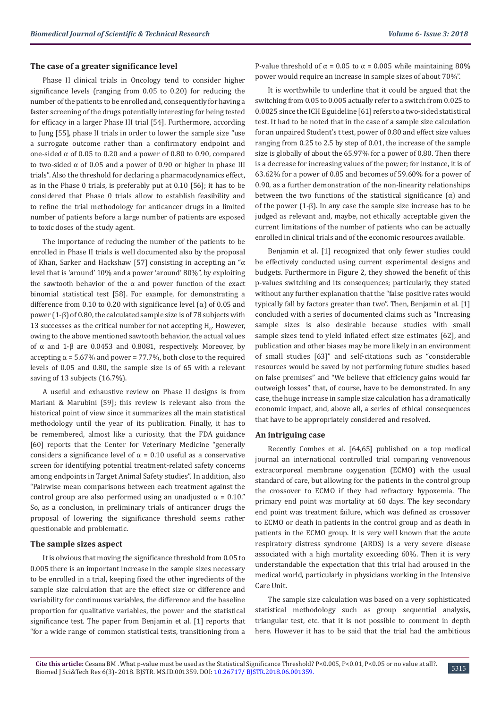#### **The case of a greater significance level**

Phase II clinical trials in Oncology tend to consider higher significance levels (ranging from 0.05 to 0.20) for reducing the number of the patients to be enrolled and, consequently for having a faster screening of the drugs potentially interesting for being tested for efficacy in a larger Phase III trial [54]. Furthermore, according to Jung [55], phase II trials in order to lower the sample size "use a surrogate outcome rather than a confirmatory endpoint and one-sided α of 0.05 to 0.20 and a power of 0.80 to 0.90, compared to two-sided α of 0.05 and a power of 0.90 or higher in phase III trials". Also the threshold for declaring a pharmacodynamics effect, as in the Phase 0 trials, is preferably put at 0.10 [56]; it has to be considered that Phase 0 trials allow to establish feasibility and to refine the trial methodology for anticancer drugs in a limited number of patients before a large number of patients are exposed to toxic doses of the study agent.

The importance of reducing the number of the patients to be enrolled in Phase II trials is well documented also by the proposal of Khan, Sarker and Hackshaw [57] consisting in accepting an "α level that is 'around' 10% and a power 'around' 80%", by exploiting the sawtooth behavior of the  $\alpha$  and power function of the exact binomial statistical test [58]. For example, for demonstrating a difference from 0.10 to 0.20 with significance level ( $\alpha$ ) of 0.05 and power (1-β) of 0.80, the calculated sample size is of 78 subjects with  $13$  successes as the critical number for not accepting  $H_0$ . However, owing to the above mentioned sawtooth behavior, the actual values of α and 1-β are 0.0453 and 0.8081, respectively. Moreover, by accepting  $\alpha$  = 5.67% and power = 77.7%, both close to the required levels of 0.05 and 0.80, the sample size is of 65 with a relevant saving of 13 subjects (16.7%).

A useful and exhaustive review on Phase II designs is from Mariani & Marubini [59]; this review is relevant also from the historical point of view since it summarizes all the main statistical methodology until the year of its publication. Finally, it has to be remembered, almost like a curiosity, that the FDA guidance [60] reports that the Center for Veterinary Medicine "generally considers a significance level of  $\alpha = 0.10$  useful as a conservative screen for identifying potential treatment-related safety concerns among endpoints in Target Animal Safety studies". In addition, also "Pairwise mean comparisons between each treatment against the control group are also performed using an unadjusted  $\alpha = 0.10$ ." So, as a conclusion, in preliminary trials of anticancer drugs the proposal of lowering the significance threshold seems rather questionable and problematic.

#### **The sample sizes aspect**

It is obvious that moving the significance threshold from 0.05 to 0.005 there is an important increase in the sample sizes necessary to be enrolled in a trial, keeping fixed the other ingredients of the sample size calculation that are the effect size or difference and variability for continuous variables, the difference and the baseline proportion for qualitative variables, the power and the statistical significance test. The paper from Benjamin et al. [1] reports that "for a wide range of common statistical tests, transitioning from a

P-value threshold of  $\alpha$  = 0.05 to  $\alpha$  = 0.005 while maintaining 80% power would require an increase in sample sizes of about 70%".

It is worthwhile to underline that it could be argued that the switching from 0.05 to 0.005 actually refer to a switch from 0.025 to 0.0025 since the ICH E guideline [61] refers to a two-sided statistical test. It had to be noted that in the case of a sample size calculation for an unpaired Student's t test, power of 0.80 and effect size values ranging from 0.25 to 2.5 by step of 0.01, the increase of the sample size is globally of about the 65.97% for a power of 0.80. Then there is a decrease for increasing values of the power; for instance, it is of 63.62% for a power of 0.85 and becomes of 59.60% for a power of 0.90, as a further demonstration of the non-linearity relationships between the two functions of the statistical significance  $(\alpha)$  and of the power (1-β). In any case the sample size increase has to be judged as relevant and, maybe, not ethically acceptable given the current limitations of the number of patients who can be actually enrolled in clinical trials and of the economic resources available.

Benjamin et al. [1] recognized that only fewer studies could be effectively conducted using current experimental designs and budgets. Furthermore in Figure 2, they showed the benefit of this p-values switching and its consequences; particularly, they stated without any further explanation that the "false positive rates would typically fall by factors greater than two". Then, Benjamin et al. [1] concluded with a series of documented claims such as "Increasing sample sizes is also desirable because studies with small sample sizes tend to yield inflated effect size estimates [62], and publication and other biases may be more likely in an environment of small studies [63]" and self-citations such as "considerable resources would be saved by not performing future studies based on false premises" and "We believe that efficiency gains would far outweigh losses" that, of course, have to be demonstrated. In any case, the huge increase in sample size calculation has a dramatically economic impact, and, above all, a series of ethical consequences that have to be appropriately considered and resolved.

#### **An intriguing case**

Recently Combes et al. [64,65] published on a top medical journal an international controlled trial comparing venovenous extracorporeal membrane oxygenation (ECMO) with the usual standard of care, but allowing for the patients in the control group the crossover to ECMO if they had refractory hypoxemia. The primary end point was mortality at 60 days. The key secondary end point was treatment failure, which was defined as crossover to ECMO or death in patients in the control group and as death in patients in the ECMO group. It is very well known that the acute respiratory distress syndrome (ARDS) is a very severe disease associated with a high mortality exceeding 60%. Then it is very understandable the expectation that this trial had aroused in the medical world, particularly in physicians working in the Intensive Care Unit.

The sample size calculation was based on a very sophisticated statistical methodology such as group sequential analysis, triangular test, etc. that it is not possible to comment in depth here. However it has to be said that the trial had the ambitious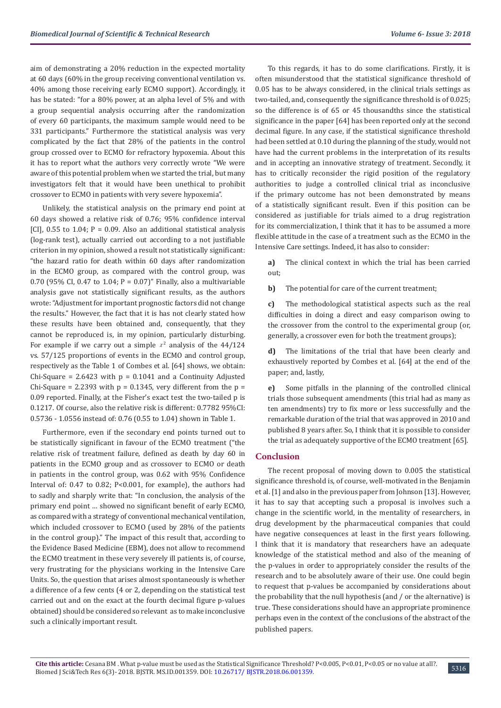aim of demonstrating a 20% reduction in the expected mortality at 60 days (60% in the group receiving conventional ventilation vs. 40% among those receiving early ECMO support). Accordingly, it has be stated: "for a 80% power, at an alpha level of 5% and with a group sequential analysis occurring after the randomization of every 60 participants, the maximum sample would need to be 331 participants." Furthermore the statistical analysis was very complicated by the fact that 28% of the patients in the control group crossed over to ECMO for refractory hypoxemia. About this it has to report what the authors very correctly wrote "We were aware of this potential problem when we started the trial, but many investigators felt that it would have been unethical to prohibit crossover to ECMO in patients with very severe hypoxemia".

Unlikely, the statistical analysis on the primary end point at 60 days showed a relative risk of 0.76; 95% confidence interval [CI],  $0.55$  to 1.04; P = 0.09. Also an additional statistical analysis (log-rank test), actually carried out according to a not justifiable criterion in my opinion, showed a result not statistically significant: "the hazard ratio for death within 60 days after randomization in the ECMO group, as compared with the control group, was 0.70 (95% CI, 0.47 to 1.04; P = 0.07)" Finally, also a multivariable analysis gave not statistically significant results, as the authors wrote: "Adjustment for important prognostic factors did not change the results." However, the fact that it is has not clearly stated how these results have been obtained and, consequently, that they cannot be reproduced is, in my opinion, particularly disturbing. For example if we carry out a simple  $x^2$  analysis of the 44/124 vs. 57/125 proportions of events in the ECMO and control group, respectively as the Table 1 of Combes et al. [64] shows, we obtain: Chi-Square =  $2.6423$  with  $p = 0.1041$  and a Continuity Adjusted Chi-Square = 2.2393 with  $p = 0.1345$ , very different from the  $p =$ 0.09 reported. Finally, at the Fisher's exact test the two-tailed p is 0.1217. Of course, also the relative risk is different: 0.7782 95%CI: 0.5736 - 1.0556 instead of: 0.76 (0.55 to 1.04) shown in Table 1.

Furthermore, even if the secondary end points turned out to be statistically significant in favour of the ECMO treatment ("the relative risk of treatment failure, defined as death by day 60 in patients in the ECMO group and as crossover to ECMO or death in patients in the control group, was 0.62 with 95% Confidence Interval of: 0.47 to 0.82; P<0.001, for example), the authors had to sadly and sharply write that: "In conclusion, the analysis of the primary end point … showed no significant benefit of early ECMO, as compared with a strategy of conventional mechanical ventilation, which included crossover to ECMO (used by 28% of the patients in the control group)." The impact of this result that, according to the Evidence Based Medicine (EBM), does not allow to recommend the ECMO treatment in these very severely ill patients is, of course, very frustrating for the physicians working in the Intensive Care Units. So, the question that arises almost spontaneously is whether a difference of a few cents (4 or 2, depending on the statistical test carried out and on the exact at the fourth decimal figure p-values obtained) should be considered so relevant as to make inconclusive such a clinically important result.

To this regards, it has to do some clarifications. Firstly, it is often misunderstood that the statistical significance threshold of 0.05 has to be always considered, in the clinical trials settings as two-tailed, and, consequently the significance threshold is of 0.025; so the difference is of 65 or 45 thousandths since the statistical significance in the paper [64] has been reported only at the second decimal figure. In any case, if the statistical significance threshold had been settled at 0.10 during the planning of the study, would not have had the current problems in the interpretation of its results and in accepting an innovative strategy of treatment. Secondly, it has to critically reconsider the rigid position of the regulatory authorities to judge a controlled clinical trial as inconclusive if the primary outcome has not been demonstrated by means of a statistically significant result. Even if this position can be considered as justifiable for trials aimed to a drug registration for its commercialization, I think that it has to be assumed a more flexible attitude in the case of a treatment such as the ECMO in the Intensive Care settings. Indeed, it has also to consider:

**a)** The clinical context in which the trial has been carried out;

**b)** The potential for care of the current treatment;

**c)** The methodological statistical aspects such as the real difficulties in doing a direct and easy comparison owing to the crossover from the control to the experimental group (or, generally, a crossover even for both the treatment groups);

**d)** The limitations of the trial that have been clearly and exhaustively reported by Combes et al. [64] at the end of the paper; and, lastly,

**e)** Some pitfalls in the planning of the controlled clinical trials those subsequent amendments (this trial had as many as ten amendments) try to fix more or less successfully and the remarkable duration of the trial that was approved in 2010 and published 8 years after. So, I think that it is possible to consider the trial as adequately supportive of the ECMO treatment [65].

#### **Conclusion**

The recent proposal of moving down to 0.005 the statistical significance threshold is, of course, well-motivated in the Benjamin et al. [1] and also in the previous paper from Johnson [13]. However, it has to say that accepting such a proposal is involves such a change in the scientific world, in the mentality of researchers, in drug development by the pharmaceutical companies that could have negative consequences at least in the first years following. I think that it is mandatory that researchers have an adequate knowledge of the statistical method and also of the meaning of the p-values in order to appropriately consider the results of the research and to be absolutely aware of their use. One could begin to request that p-values be accompanied by considerations about the probability that the null hypothesis (and / or the alternative) is true. These considerations should have an appropriate prominence perhaps even in the context of the conclusions of the abstract of the published papers.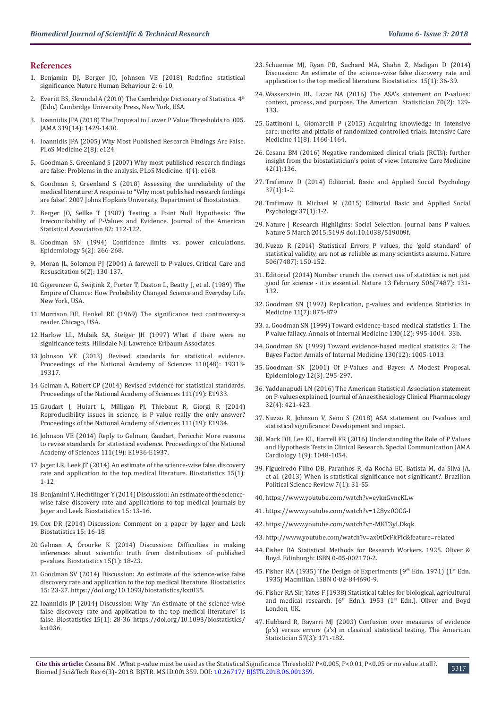#### **References**

- 1. [Benjamin DJ, Berger JO, Johnson VE \(2018\) Redefine statistical](https://www.nature.com/articles/s41562-017-0189-z)  [significance. Nature Human Behaviour 2: 6-10.](https://www.nature.com/articles/s41562-017-0189-z)
- 2. Everitt BS, Skrondal A (2010) The Cambridge Dictionary of Statistics.  $4<sup>th</sup>$ (Edn.) Cambridge University Press, New York, USA.
- 3. [Ioannidis JPA \(2018\) The Proposal to Lower P Value Thresholds to .005.](https://jamanetwork.com/journals/jama/article-abstract/2676503)  [JAMA 319\(14\): 1429-1430.](https://jamanetwork.com/journals/jama/article-abstract/2676503)
- 4. [Ioannidis JPA \(2005\) Why Most Published Research Findings Are False.](http://journals.plos.org/plosmedicine/article?id=10.1371/journal.pmed.0020124)  [PLoS Medicine 2\(8\): e124.](http://journals.plos.org/plosmedicine/article?id=10.1371/journal.pmed.0020124)
- 5. [Goodman S, Greenland S \(2007\) Why most published research findings](https://www.ncbi.nlm.nih.gov/pmc/articles/PMC1855693/)  [are false: Problems in the analysis. PLoS Medicine. 4\(4\): e168.](https://www.ncbi.nlm.nih.gov/pmc/articles/PMC1855693/)
- 6. [Goodman S, Greenland S \(2018\) Assessing the unreliability of the](https://biostats.bepress.com/jhubiostat/paper135/)  [medical literature: A response to "Why most published research findings](https://biostats.bepress.com/jhubiostat/paper135/)  [are false". 2007 Johns Hopkins University, Department of Biostatistics.](https://biostats.bepress.com/jhubiostat/paper135/)
- 7. Berger JO, Sellke T (1987) Testing a Point Null Hypothesis: The Irreconcilability of P-Values and Evidence. Journal of the American Statistical Association 82: 112-122.
- 8. [Goodman SN \(1994\) Confidence limits vs. power calculations.](https://www.ncbi.nlm.nih.gov/pubmed/8173006)  [Epidemiology 5\(2\): 266-268.](https://www.ncbi.nlm.nih.gov/pubmed/8173006)
- Moran JL, Solomon PJ (2004) A farewell to P-values. Critical Care and [Resuscitation 6\(2\): 130-137.](https://www.ncbi.nlm.nih.gov/pubmed/16566700)
- 10. Gigerenzer G, Swijtink Z, Porter T, Daston L, Beatty J, et al. (1989) The Empire of Chance: How Probability Changed Science and Everyday Life. New York, USA.
- 11. Morrison DE, Henkel RE (1969) The significance test controversy-a reader. Chicago, USA.
- 12. [Harlow LL, Mulaik SA, Steiger JH \(1997\) What if there were no](http://psycnet.apa.org/record/1997-05052-000)  [significance tests. Hillsdale NJ: Lawrence Erlbaum Associates.](http://psycnet.apa.org/record/1997-05052-000)
- 13. [Johnson VE \(2013\) Revised standards for statistical evidence.](http://www.pnas.org/content/110/48/19313)  [Proceedings of the National Academy of Sciences 110\(48\): 19313-](http://www.pnas.org/content/110/48/19313) [19317.](http://www.pnas.org/content/110/48/19313)
- 14. [Gelman A, Robert CP \(2014\) Revised evidence for statistical standards.](https://www.ncbi.nlm.nih.gov/pubmed/24760821)  [Proceedings of the National Academy of Sciences 111\(19\): E1933.](https://www.ncbi.nlm.nih.gov/pubmed/24760821)
- 15. [Gaudart J, Huiart L, Milligan PJ, Thiebaut R, Giorgi R \(2014\)](http://www.pnas.org/content/111/19/E1934)  [Reproducibility issues in science, is P value really the only answer?](http://www.pnas.org/content/111/19/E1934)  [Proceedings of the National Academy of Sciences 111\(19\): E1934.](http://www.pnas.org/content/111/19/E1934)
- 16. [Johnson VE \(2014\) Reply to Gelman, Gaudart, Pericchi: More reasons](http://www.pnas.org/content/111/19/E1936)  [to revise standards for statistical evidence. Proceedings of the National](http://www.pnas.org/content/111/19/E1936)  [Academy of Sciences 111\(19\): E1936-E1937.](http://www.pnas.org/content/111/19/E1936)
- 17. [Jager LR, Leek JT \(2014\) An estimate of the science-wise false discovery](https://www.ncbi.nlm.nih.gov/pubmed/24068246)  [rate and application to the top medical literature. Biostatistics 15\(1\):](https://www.ncbi.nlm.nih.gov/pubmed/24068246)  [1-12.](https://www.ncbi.nlm.nih.gov/pubmed/24068246)
- 18. [Benjamini Y, Hechtlinger Y \(2014\) Discussion: An estimate of the science](https://academic.oup.com/biostatistics/article/15/1/13/245510)[wise false discovery rate and applications to top medical journals by](https://academic.oup.com/biostatistics/article/15/1/13/245510)  [Jager and Leek. Biostatistics 15: 13-16.](https://academic.oup.com/biostatistics/article/15/1/13/245510)
- 19. [Cox DR \(2014\) Discussion: Comment on a paper by Jager and Leek](https://academic.oup.com/biostatistics/article/15/1/16/245529)  [Biostatistics 15: 16-18.](https://academic.oup.com/biostatistics/article/15/1/16/245529)
- 20. [Gelman A, Orourke K \(2014\) Discussion: Difficulties in making](https://academic.oup.com/biostatistics/article/15/1/18/245554)  [inferences about scientific truth from distributions of published](https://academic.oup.com/biostatistics/article/15/1/18/245554)  [p-values. Biostatistics 15\(1\): 18-23.](https://academic.oup.com/biostatistics/article/15/1/18/245554)
- 21. [Goodman SV \(2014\) Discussion: An estimate of the science-wise false](https://jhu.pure.elsevier.com/en/publications/discussion-an-estimate-of-the-science-wise-false-discovery-rate-a-3)  [discovery rate and application to the top medical literature. Biostatistics](https://jhu.pure.elsevier.com/en/publications/discussion-an-estimate-of-the-science-wise-false-discovery-rate-a-3)  [15: 23-27.](https://jhu.pure.elsevier.com/en/publications/discussion-an-estimate-of-the-science-wise-false-discovery-rate-a-3) https://doi.org/10.1093/biostatistics/kxt035.
- 22. [Ioannidis JP \(2014\) Discussion: Why "An estimate of the science-wise](https://www.ncbi.nlm.nih.gov/pubmed/24068251)  [false discovery rate and application to the top medical literature" is](https://www.ncbi.nlm.nih.gov/pubmed/24068251)  [false. Biostatistics 15\(1\): 28-36.](https://www.ncbi.nlm.nih.gov/pubmed/24068251) https://doi.org/10.1093/biostatistics/ kxt036.
- 23. [Schuemie MJ, Ryan PB, Suchard MA, Shahn Z, Madigan D \(2014\)](https://www.ncbi.nlm.nih.gov/pmc/articles/PMC3862211/) [Discussion: An estimate of the science-wise false discovery rate and](https://www.ncbi.nlm.nih.gov/pmc/articles/PMC3862211/) [application to the top medical literature. Biostatistics 15\(1\): 36-39.](https://www.ncbi.nlm.nih.gov/pmc/articles/PMC3862211/)
- 24. Wasserstein RL, Lazar NA (2016) The ASA's statement on P-values: context, process, and purpose. The American Statistician 70(2): 129- 133.
- 25. [Gattinoni L, Giomarelli P \(2015\) Acquiring knowledge in intensive](https://www.ncbi.nlm.nih.gov/pubmed/26077049) [care: merits and pitfalls of randomized controlled trials. Intensive Care](https://www.ncbi.nlm.nih.gov/pubmed/26077049) [Medicine 41\(8\): 1460-1464.](https://www.ncbi.nlm.nih.gov/pubmed/26077049)
- 26. [Cesana BM \(2016\) Negative randomized clinical trials \(RCTs\): further](https://link.springer.com/article/10.1007/s00134-015-4109-2) [insight from the biostatistician's point of view. Intensive Care Medicine](https://link.springer.com/article/10.1007/s00134-015-4109-2) [42\(1\):136.](https://link.springer.com/article/10.1007/s00134-015-4109-2)
- 27. [Trafimow D \(2014\) Editorial. Basic and Applied Social Psychology](https://www.tandfonline.com/doi/full/10.1080/01973533.2015.1012991) [37\(1\):1-2.](https://www.tandfonline.com/doi/full/10.1080/01973533.2015.1012991)
- 28. [Trafimow D, Michael M \(2015\) Editorial Basic and Applied Social](https://www.tandfonline.com/doi/full/10.1080/01973533.2015.1012991) [Psychology 37\(1\):1-2.](https://www.tandfonline.com/doi/full/10.1080/01973533.2015.1012991)
- 29. Nature | Research Highlights: Social Selection. Journal bans P values. Nature 5 March 2015;519:9 doi:10.1038/519009f.
- 30. [Nuzzo R \(2014\) Statistical Errors P values, the 'gold standard' of](https://www.nature.com/news/scientific-method-statistical-errors-1.14700) [statistical validity, are not as reliable as many scientists assume. Nature](https://www.nature.com/news/scientific-method-statistical-errors-1.14700) [506\(7487\): 150-152.](https://www.nature.com/news/scientific-method-statistical-errors-1.14700)
- 31. [Editorial \(2014\) Number crunch the correct use of statistics is not just](https://www.nature.com/news/number-crunch-1.14692) [good for science - it is essential. Nature 13 February 506\(7487\): 131-](https://www.nature.com/news/number-crunch-1.14692) [132.](https://www.nature.com/news/number-crunch-1.14692)
- 32. [Goodman SN \(1992\) Replication, p-values and evidence. Statistics in](https://onlinelibrary.wiley.com/doi/pdf/10.1002/sim.4780110705) [Medicine 11\(7\): 875-879](https://onlinelibrary.wiley.com/doi/pdf/10.1002/sim.4780110705)
- 33. a. [Goodman SN \(1999\) Toward evidence-based medical statistics 1: The](https://www.ncbi.nlm.nih.gov/pubmed/10383371) [P value fallacy. Annals of Internal Medicine 130\(12\): 995-1004.](https://www.ncbi.nlm.nih.gov/pubmed/10383371) 33b.
- 34. [Goodman SN \(1999\) Toward evidence-based medical statistics 2: The](https://www.ncbi.nlm.nih.gov/pubmed/10383350) [Bayes Factor. Annals of Internal Medicine 130\(12\): 1005-1013.](https://www.ncbi.nlm.nih.gov/pubmed/10383350)
- 35. [Goodman SN \(2001\) Of P-Values and Bayes: A Modest Proposal.](https://journals.lww.com/epidem/fulltext/2001/05000/of_p_values_and_bayes__a_modest_proposal.6.aspx) [Epidemiology 12\(3\): 295-297.](https://journals.lww.com/epidem/fulltext/2001/05000/of_p_values_and_bayes__a_modest_proposal.6.aspx)
- 36. [Yaddanapudi LN \(2016\) The American Statistical Association statement](https://www.ncbi.nlm.nih.gov/pmc/articles/PMC5187603/) [on P-values explained. Journal of Anaesthesiology Clinical Pharmacology](https://www.ncbi.nlm.nih.gov/pmc/articles/PMC5187603/) [32\(4\): 421-423.](https://www.ncbi.nlm.nih.gov/pmc/articles/PMC5187603/)
- 37. Nuzzo R, Johnson V, Senn S (2018) ASA statement on P-values and statistical significance: Development and impact.
- 38. [Mark DB, Lee KL, Harrell FR \(2016\) Understanding the Role of P Values](https://www.ncbi.nlm.nih.gov/pubmed/27732700) [and Hypothesis Tests in Clinical Research. Special Communication JAMA](https://www.ncbi.nlm.nih.gov/pubmed/27732700) [Cardiology 1\(9\): 1048-1054.](https://www.ncbi.nlm.nih.gov/pubmed/27732700)
- 39. [Figueiredo Filho DB, Paranhos R, da Rocha EC, Batista M, da Silva JA,](http://www.scielo.br/scielo.php?pid=S1981-38212013000100002&script=sci_abstract) [et al. \(2013\) When is statistical significance not significant?. Brazilian](http://www.scielo.br/scielo.php?pid=S1981-38212013000100002&script=sci_abstract) [Political Science Review 7\(1\): 31-55.](http://www.scielo.br/scielo.php?pid=S1981-38212013000100002&script=sci_abstract)
- 40. <https://www.youtube.com/watch?v=eyknGvncKLw>
- 41. <https://www.youtube.com/watch?v=128yz0OCG-I>
- 42. <https://www.youtube.com/watch?v=-MKT3yLDkqk>
- 43. <http://www.youtube.com/watch?v=ax0tDcFkPic&feature=related>
- 44. Fisher RA Statistical Methods for Research Workers. 1925. Oliver & Boyd. Edinburgh: ISBN 0-05-002170-2.
- 45. Fisher RA (1935) The Design of Experiments ( $9<sup>th</sup>$  Edn. 1971) ( $1<sup>st</sup>$  Edn. 1935) Macmillan. ISBN 0-02-844690-9.
- 46. Fisher RA Sir, Yates F (1938) Statistical tables for biological, agricultural and medical research. ( $6<sup>th</sup>$  Edn.). 1953 (1<sup>st</sup> Edn.). Oliver and Boyd London, UK.
- 47. [Hubbard R, Bayarri MJ \(2003\) Confusion over measures of evidence](https://www.tandfonline.com/doi/abs/10.1198/0003130031856) [\(p's\) versus errors \(a's\) in classical statistical testing. The American](https://www.tandfonline.com/doi/abs/10.1198/0003130031856) [Statistician 57\(3\): 171-182.](https://www.tandfonline.com/doi/abs/10.1198/0003130031856)